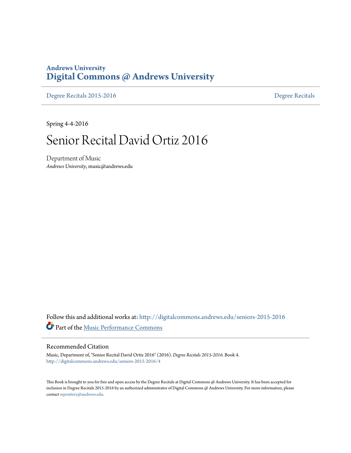### **Andrews University [Digital Commons @ Andrews University](http://digitalcommons.andrews.edu?utm_source=digitalcommons.andrews.edu%2Fseniors-2015-2016%2F4&utm_medium=PDF&utm_campaign=PDFCoverPages)**

[Degree Recitals 2015-2016](http://digitalcommons.andrews.edu/seniors-2015-2016?utm_source=digitalcommons.andrews.edu%2Fseniors-2015-2016%2F4&utm_medium=PDF&utm_campaign=PDFCoverPages) **[Degree Recitals](http://digitalcommons.andrews.edu/music-seniors?utm_source=digitalcommons.andrews.edu%2Fseniors-2015-2016%2F4&utm_medium=PDF&utm_campaign=PDFCoverPages)** 

Spring 4-4-2016

## Senior Recital David Ortiz 2016

Department of Music *Andrews University*, music@andrews.edu

Follow this and additional works at: [http://digitalcommons.andrews.edu/seniors-2015-2016](http://digitalcommons.andrews.edu/seniors-2015-2016?utm_source=digitalcommons.andrews.edu%2Fseniors-2015-2016%2F4&utm_medium=PDF&utm_campaign=PDFCoverPages) Part of the [Music Performance Commons](http://network.bepress.com/hgg/discipline/1128?utm_source=digitalcommons.andrews.edu%2Fseniors-2015-2016%2F4&utm_medium=PDF&utm_campaign=PDFCoverPages)

### Recommended Citation

Music, Department of, "Senior Recital David Ortiz 2016" (2016). *Degree Recitals 2015-2016.* Book 4. [http://digitalcommons.andrews.edu/seniors-2015-2016/4](http://digitalcommons.andrews.edu/seniors-2015-2016/4?utm_source=digitalcommons.andrews.edu%2Fseniors-2015-2016%2F4&utm_medium=PDF&utm_campaign=PDFCoverPages)

This Book is brought to you for free and open access by the Degree Recitals at Digital Commons @ Andrews University. It has been accepted for inclusion in Degree Recitals 2015-2016 by an authorized administrator of Digital Commons @ Andrews University. For more information, please contact [repository@andrews.edu.](mailto:repository@andrews.edu)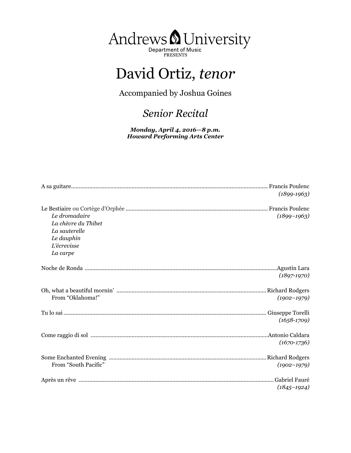

# David Ortiz, *tenor*

Accompanied by Joshua Goines

## *Senior Recital*

*Monday, April 4, 2016—8 p.m. Howard Performing Arts Center*

|                      | $(1899 - 1963)$ |
|----------------------|-----------------|
|                      |                 |
| Le dromadaire        | $(1899 - 1963)$ |
| La chèvre du Thibet  |                 |
| La sauterelle        |                 |
| Le dauphin           |                 |
| L'écrevisse          |                 |
| La carpe             |                 |
|                      |                 |
|                      | $(1897-1970)$   |
|                      |                 |
| From "Oklahoma!"     | $(1902 - 1979)$ |
|                      |                 |
|                      | $(1658-1709)$   |
|                      |                 |
|                      | $(1670 - 1736)$ |
|                      |                 |
| From "South Pacific" | $(1902 - 1979)$ |
|                      |                 |
|                      | $(1845 - 1924)$ |